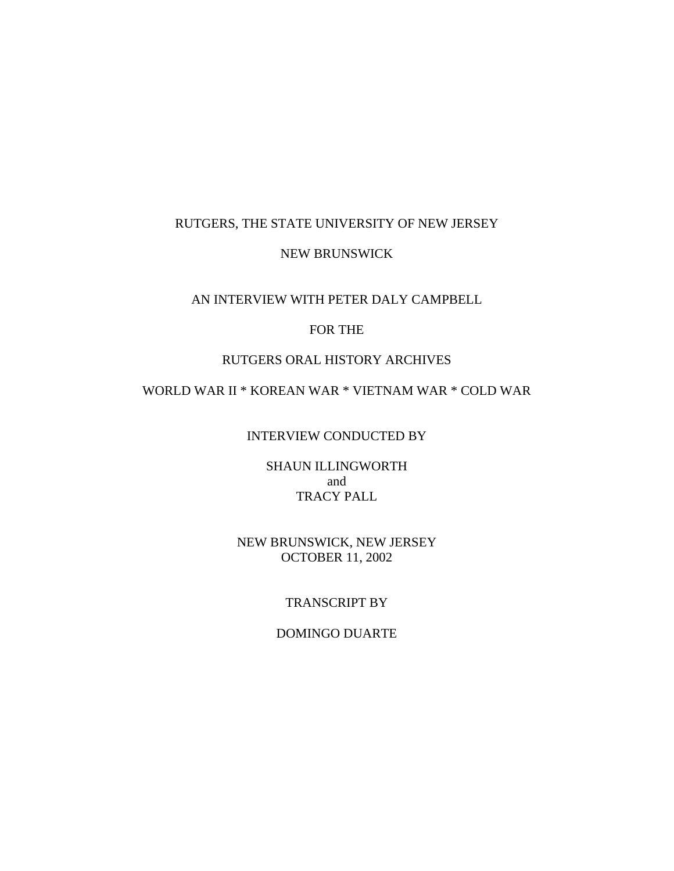## RUTGERS, THE STATE UNIVERSITY OF NEW JERSEY

## NEW BRUNSWICK

## AN INTERVIEW WITH PETER DALY CAMPBELL

# FOR THE

## RUTGERS ORAL HISTORY ARCHIVES

# WORLD WAR II \* KOREAN WAR \* VIETNAM WAR \* COLD WAR

## INTERVIEW CONDUCTED BY

SHAUN ILLINGWORTH and TRACY PALL

# NEW BRUNSWICK, NEW JERSEY OCTOBER 11, 2002

# TRANSCRIPT BY

# DOMINGO DUARTE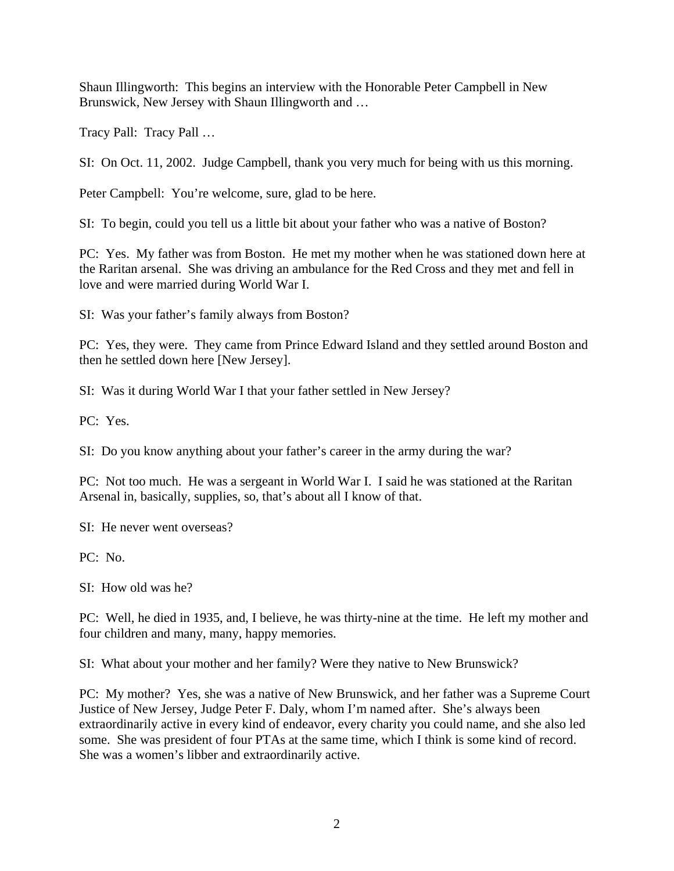Shaun Illingworth: This begins an interview with the Honorable Peter Campbell in New Brunswick, New Jersey with Shaun Illingworth and …

Tracy Pall: Tracy Pall …

SI: On Oct. 11, 2002. Judge Campbell, thank you very much for being with us this morning.

Peter Campbell: You're welcome, sure, glad to be here.

SI: To begin, could you tell us a little bit about your father who was a native of Boston?

PC: Yes. My father was from Boston. He met my mother when he was stationed down here at the Raritan arsenal. She was driving an ambulance for the Red Cross and they met and fell in love and were married during World War I.

SI: Was your father's family always from Boston?

PC: Yes, they were. They came from Prince Edward Island and they settled around Boston and then he settled down here [New Jersey].

SI: Was it during World War I that your father settled in New Jersey?

PC: Yes.

SI: Do you know anything about your father's career in the army during the war?

PC: Not too much. He was a sergeant in World War I. I said he was stationed at the Raritan Arsenal in, basically, supplies, so, that's about all I know of that.

SI: He never went overseas?

PC: No.

SI: How old was he?

PC: Well, he died in 1935, and, I believe, he was thirty-nine at the time. He left my mother and four children and many, many, happy memories.

SI: What about your mother and her family? Were they native to New Brunswick?

PC: My mother? Yes, she was a native of New Brunswick, and her father was a Supreme Court Justice of New Jersey, Judge Peter F. Daly, whom I'm named after. She's always been extraordinarily active in every kind of endeavor, every charity you could name, and she also led some. She was president of four PTAs at the same time, which I think is some kind of record. She was a women's libber and extraordinarily active.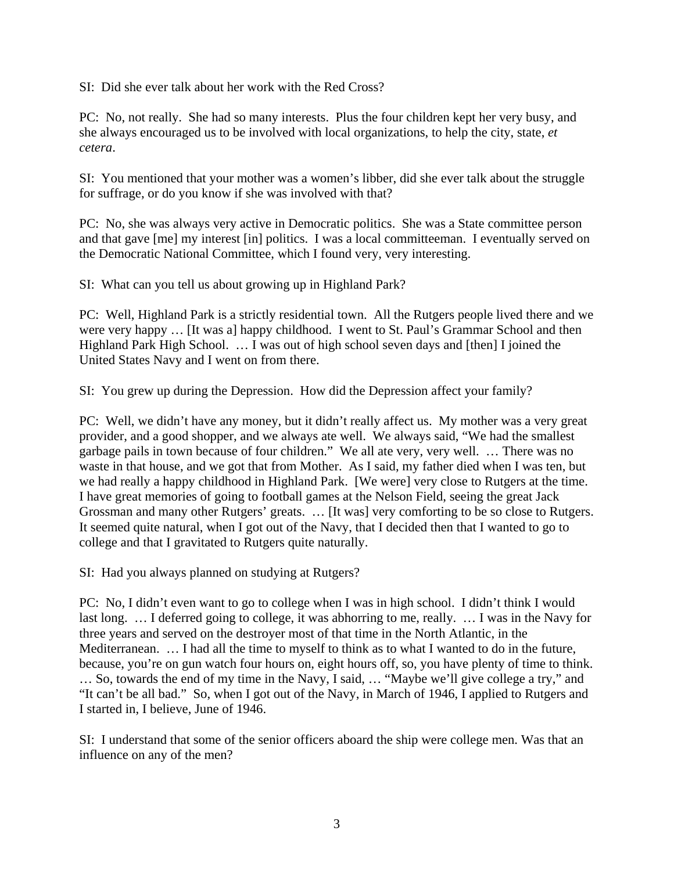SI: Did she ever talk about her work with the Red Cross?

PC: No, not really. She had so many interests. Plus the four children kept her very busy, and she always encouraged us to be involved with local organizations, to help the city, state, *et cetera*.

SI: You mentioned that your mother was a women's libber, did she ever talk about the struggle for suffrage, or do you know if she was involved with that?

PC: No, she was always very active in Democratic politics. She was a State committee person and that gave [me] my interest [in] politics. I was a local committeeman. I eventually served on the Democratic National Committee, which I found very, very interesting.

SI: What can you tell us about growing up in Highland Park?

PC: Well, Highland Park is a strictly residential town. All the Rutgers people lived there and we were very happy … [It was a] happy childhood. I went to St. Paul's Grammar School and then Highland Park High School. … I was out of high school seven days and [then] I joined the United States Navy and I went on from there.

SI: You grew up during the Depression. How did the Depression affect your family?

PC: Well, we didn't have any money, but it didn't really affect us. My mother was a very great provider, and a good shopper, and we always ate well. We always said, "We had the smallest garbage pails in town because of four children." We all ate very, very well. … There was no waste in that house, and we got that from Mother. As I said, my father died when I was ten, but we had really a happy childhood in Highland Park. [We were] very close to Rutgers at the time. I have great memories of going to football games at the Nelson Field, seeing the great Jack Grossman and many other Rutgers' greats. … [It was] very comforting to be so close to Rutgers. It seemed quite natural, when I got out of the Navy, that I decided then that I wanted to go to college and that I gravitated to Rutgers quite naturally.

SI: Had you always planned on studying at Rutgers?

PC: No, I didn't even want to go to college when I was in high school. I didn't think I would last long. … I deferred going to college, it was abhorring to me, really. … I was in the Navy for three years and served on the destroyer most of that time in the North Atlantic, in the Mediterranean. … I had all the time to myself to think as to what I wanted to do in the future, because, you're on gun watch four hours on, eight hours off, so, you have plenty of time to think. … So, towards the end of my time in the Navy, I said, … "Maybe we'll give college a try," and "It can't be all bad." So, when I got out of the Navy, in March of 1946, I applied to Rutgers and I started in, I believe, June of 1946.

SI: I understand that some of the senior officers aboard the ship were college men. Was that an influence on any of the men?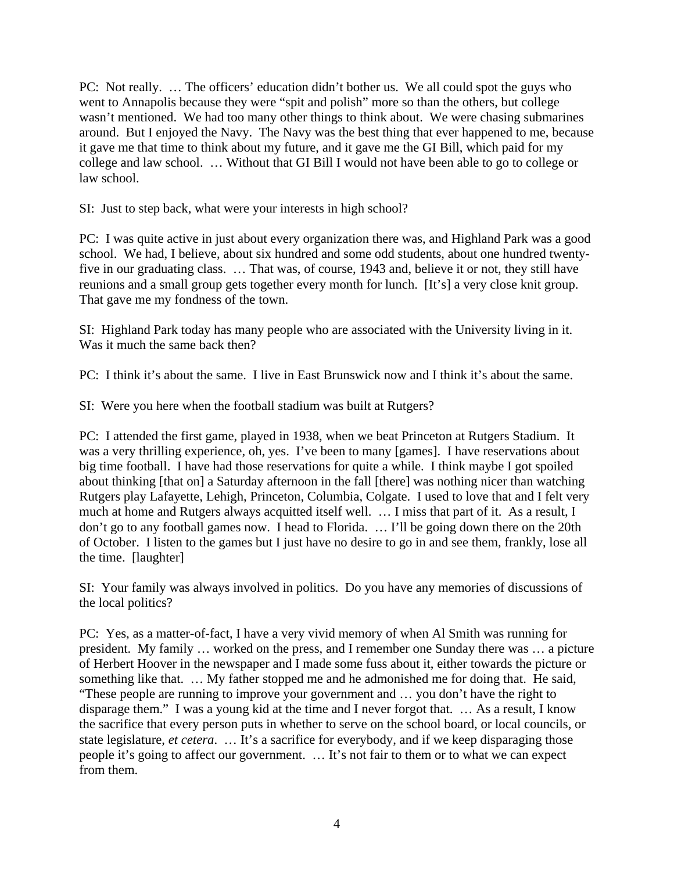PC: Not really. … The officers' education didn't bother us. We all could spot the guys who went to Annapolis because they were "spit and polish" more so than the others, but college wasn't mentioned. We had too many other things to think about. We were chasing submarines around. But I enjoyed the Navy. The Navy was the best thing that ever happened to me, because it gave me that time to think about my future, and it gave me the GI Bill, which paid for my college and law school. … Without that GI Bill I would not have been able to go to college or law school.

SI: Just to step back, what were your interests in high school?

PC: I was quite active in just about every organization there was, and Highland Park was a good school. We had, I believe, about six hundred and some odd students, about one hundred twentyfive in our graduating class. … That was, of course, 1943 and, believe it or not, they still have reunions and a small group gets together every month for lunch. [It's] a very close knit group. That gave me my fondness of the town.

SI: Highland Park today has many people who are associated with the University living in it. Was it much the same back then?

PC: I think it's about the same. I live in East Brunswick now and I think it's about the same.

SI: Were you here when the football stadium was built at Rutgers?

PC: I attended the first game, played in 1938, when we beat Princeton at Rutgers Stadium. It was a very thrilling experience, oh, yes. I've been to many [games]. I have reservations about big time football. I have had those reservations for quite a while. I think maybe I got spoiled about thinking [that on] a Saturday afternoon in the fall [there] was nothing nicer than watching Rutgers play Lafayette, Lehigh, Princeton, Columbia, Colgate. I used to love that and I felt very much at home and Rutgers always acquitted itself well. … I miss that part of it. As a result, I don't go to any football games now. I head to Florida. … I'll be going down there on the 20th of October. I listen to the games but I just have no desire to go in and see them, frankly, lose all the time. [laughter]

SI: Your family was always involved in politics. Do you have any memories of discussions of the local politics?

PC: Yes, as a matter-of-fact, I have a very vivid memory of when Al Smith was running for president. My family … worked on the press, and I remember one Sunday there was … a picture of Herbert Hoover in the newspaper and I made some fuss about it, either towards the picture or something like that. … My father stopped me and he admonished me for doing that. He said, "These people are running to improve your government and … you don't have the right to disparage them." I was a young kid at the time and I never forgot that. … As a result, I know the sacrifice that every person puts in whether to serve on the school board, or local councils, or state legislature, *et cetera*. … It's a sacrifice for everybody, and if we keep disparaging those people it's going to affect our government. … It's not fair to them or to what we can expect from them.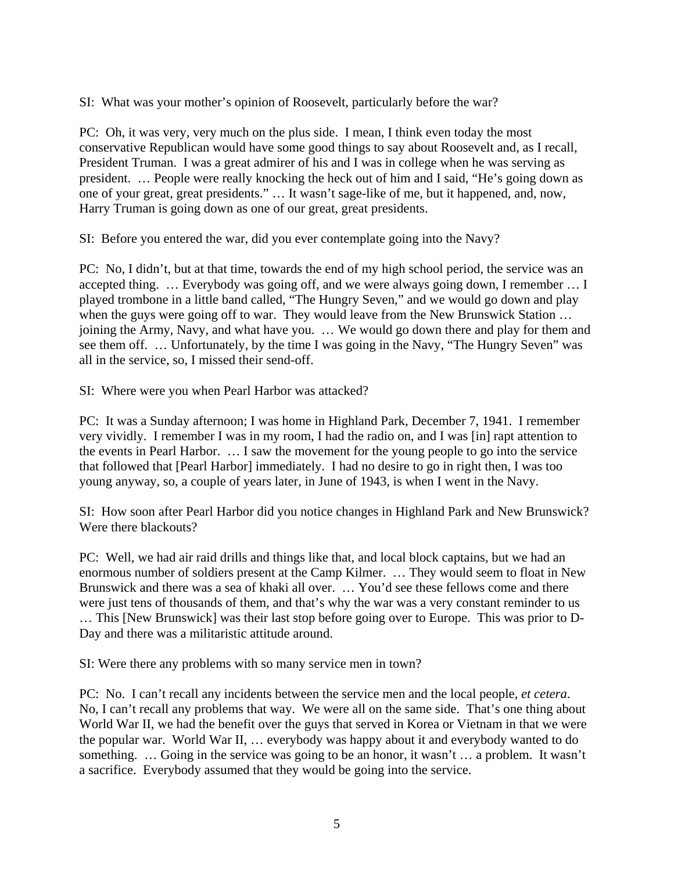SI: What was your mother's opinion of Roosevelt, particularly before the war?

PC: Oh, it was very, very much on the plus side. I mean, I think even today the most conservative Republican would have some good things to say about Roosevelt and, as I recall, President Truman. I was a great admirer of his and I was in college when he was serving as president. … People were really knocking the heck out of him and I said, "He's going down as one of your great, great presidents." … It wasn't sage-like of me, but it happened, and, now, Harry Truman is going down as one of our great, great presidents.

SI: Before you entered the war, did you ever contemplate going into the Navy?

PC: No, I didn't, but at that time, towards the end of my high school period, the service was an accepted thing. … Everybody was going off, and we were always going down, I remember … I played trombone in a little band called, "The Hungry Seven," and we would go down and play when the guys were going off to war. They would leave from the New Brunswick Station ... joining the Army, Navy, and what have you. … We would go down there and play for them and see them off. … Unfortunately, by the time I was going in the Navy, "The Hungry Seven" was all in the service, so, I missed their send-off.

SI: Where were you when Pearl Harbor was attacked?

PC: It was a Sunday afternoon; I was home in Highland Park, December 7, 1941. I remember very vividly. I remember I was in my room, I had the radio on, and I was [in] rapt attention to the events in Pearl Harbor. … I saw the movement for the young people to go into the service that followed that [Pearl Harbor] immediately. I had no desire to go in right then, I was too young anyway, so, a couple of years later, in June of 1943, is when I went in the Navy.

SI: How soon after Pearl Harbor did you notice changes in Highland Park and New Brunswick? Were there blackouts?

PC: Well, we had air raid drills and things like that, and local block captains, but we had an enormous number of soldiers present at the Camp Kilmer. … They would seem to float in New Brunswick and there was a sea of khaki all over. … You'd see these fellows come and there were just tens of thousands of them, and that's why the war was a very constant reminder to us … This [New Brunswick] was their last stop before going over to Europe. This was prior to D-Day and there was a militaristic attitude around.

SI: Were there any problems with so many service men in town?

PC: No. I can't recall any incidents between the service men and the local people, *et cetera*. No, I can't recall any problems that way. We were all on the same side. That's one thing about World War II, we had the benefit over the guys that served in Korea or Vietnam in that we were the popular war. World War II, … everybody was happy about it and everybody wanted to do something. … Going in the service was going to be an honor, it wasn't … a problem. It wasn't a sacrifice. Everybody assumed that they would be going into the service.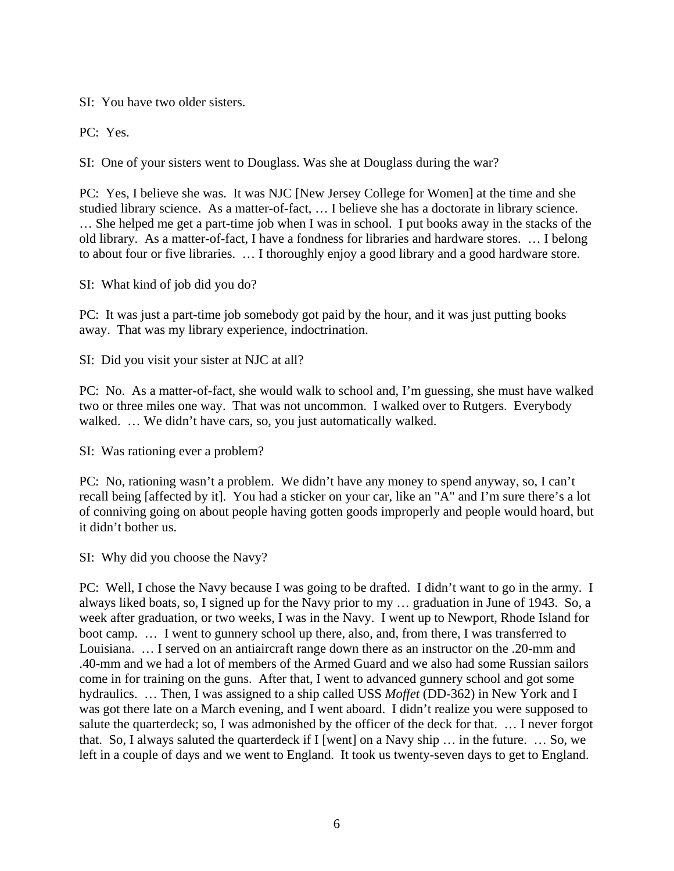SI: You have two older sisters.

PC: Yes.

SI: One of your sisters went to Douglass. Was she at Douglass during the war?

PC: Yes, I believe she was. It was NJC [New Jersey College for Women] at the time and she studied library science. As a matter-of-fact, … I believe she has a doctorate in library science. … She helped me get a part-time job when I was in school. I put books away in the stacks of the old library. As a matter-of-fact, I have a fondness for libraries and hardware stores. … I belong to about four or five libraries. … I thoroughly enjoy a good library and a good hardware store.

SI: What kind of job did you do?

PC: It was just a part-time job somebody got paid by the hour, and it was just putting books away. That was my library experience, indoctrination.

SI: Did you visit your sister at NJC at all?

PC: No. As a matter-of-fact, she would walk to school and, I'm guessing, she must have walked two or three miles one way. That was not uncommon. I walked over to Rutgers. Everybody walked. … We didn't have cars, so, you just automatically walked.

SI: Was rationing ever a problem?

PC: No, rationing wasn't a problem. We didn't have any money to spend anyway, so, I can't recall being [affected by it]. You had a sticker on your car, like an "A" and I'm sure there's a lot of conniving going on about people having gotten goods improperly and people would hoard, but it didn't bother us.

SI: Why did you choose the Navy?

PC: Well, I chose the Navy because I was going to be drafted. I didn't want to go in the army. I always liked boats, so, I signed up for the Navy prior to my … graduation in June of 1943. So, a week after graduation, or two weeks, I was in the Navy. I went up to Newport, Rhode Island for boot camp. … I went to gunnery school up there, also, and, from there, I was transferred to Louisiana. … I served on an antiaircraft range down there as an instructor on the .20-mm and .40-mm and we had a lot of members of the Armed Guard and we also had some Russian sailors come in for training on the guns. After that, I went to advanced gunnery school and got some hydraulics. … Then, I was assigned to a ship called USS *Moffet* (DD-362) in New York and I was got there late on a March evening, and I went aboard. I didn't realize you were supposed to salute the quarterdeck; so, I was admonished by the officer of the deck for that. … I never forgot that. So, I always saluted the quarterdeck if I [went] on a Navy ship … in the future. … So, we left in a couple of days and we went to England. It took us twenty-seven days to get to England.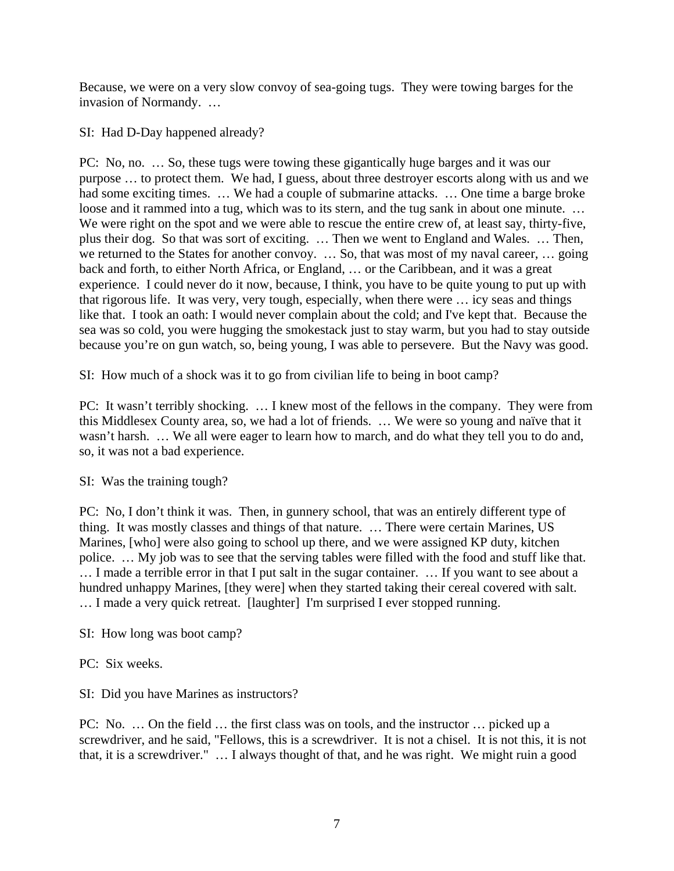Because, we were on a very slow convoy of sea-going tugs. They were towing barges for the invasion of Normandy. …

SI: Had D-Day happened already?

PC: No, no. … So, these tugs were towing these gigantically huge barges and it was our purpose … to protect them. We had, I guess, about three destroyer escorts along with us and we had some exciting times. ... We had a couple of submarine attacks. ... One time a barge broke loose and it rammed into a tug, which was to its stern, and the tug sank in about one minute. ... We were right on the spot and we were able to rescue the entire crew of, at least say, thirty-five, plus their dog. So that was sort of exciting. … Then we went to England and Wales. … Then, we returned to the States for another convoy. … So, that was most of my naval career, … going back and forth, to either North Africa, or England, … or the Caribbean, and it was a great experience. I could never do it now, because, I think, you have to be quite young to put up with that rigorous life. It was very, very tough, especially, when there were … icy seas and things like that. I took an oath: I would never complain about the cold; and I've kept that. Because the sea was so cold, you were hugging the smokestack just to stay warm, but you had to stay outside because you're on gun watch, so, being young, I was able to persevere. But the Navy was good.

SI: How much of a shock was it to go from civilian life to being in boot camp?

PC: It wasn't terribly shocking. … I knew most of the fellows in the company. They were from this Middlesex County area, so, we had a lot of friends. … We were so young and naïve that it wasn't harsh. … We all were eager to learn how to march, and do what they tell you to do and, so, it was not a bad experience.

SI: Was the training tough?

PC: No, I don't think it was. Then, in gunnery school, that was an entirely different type of thing. It was mostly classes and things of that nature. … There were certain Marines, US Marines, [who] were also going to school up there, and we were assigned KP duty, kitchen police. … My job was to see that the serving tables were filled with the food and stuff like that. … I made a terrible error in that I put salt in the sugar container. … If you want to see about a hundred unhappy Marines, [they were] when they started taking their cereal covered with salt. … I made a very quick retreat. [laughter] I'm surprised I ever stopped running.

SI: How long was boot camp?

PC: Six weeks.

SI: Did you have Marines as instructors?

PC: No. … On the field … the first class was on tools, and the instructor … picked up a screwdriver, and he said, "Fellows, this is a screwdriver. It is not a chisel. It is not this, it is not that, it is a screwdriver." … I always thought of that, and he was right. We might ruin a good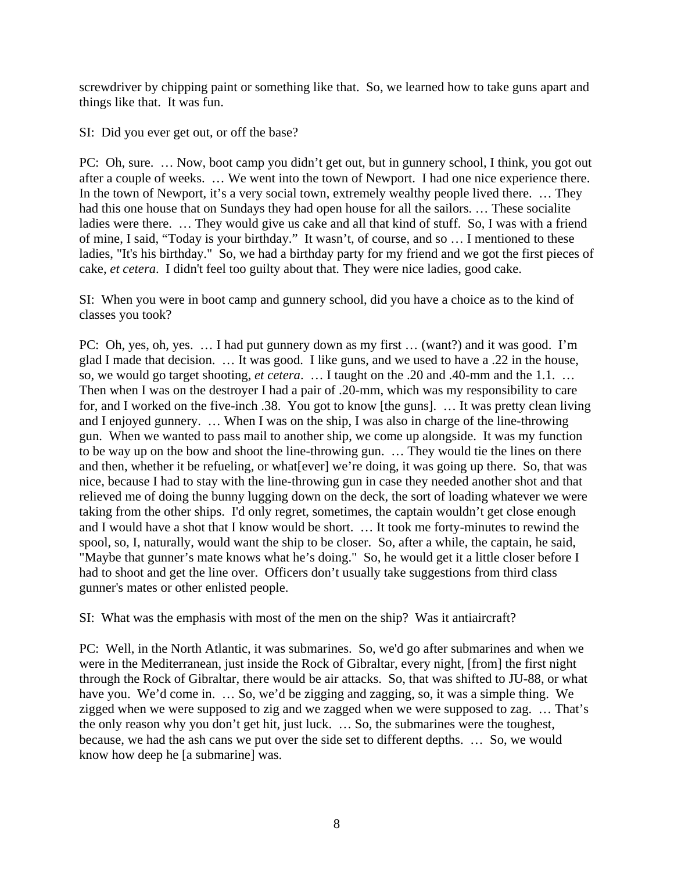screwdriver by chipping paint or something like that. So, we learned how to take guns apart and things like that. It was fun.

SI: Did you ever get out, or off the base?

PC: Oh, sure. … Now, boot camp you didn't get out, but in gunnery school, I think, you got out after a couple of weeks. … We went into the town of Newport. I had one nice experience there. In the town of Newport, it's a very social town, extremely wealthy people lived there. ... They had this one house that on Sundays they had open house for all the sailors. … These socialite ladies were there. … They would give us cake and all that kind of stuff. So, I was with a friend of mine, I said, "Today is your birthday." It wasn't, of course, and so … I mentioned to these ladies, "It's his birthday." So, we had a birthday party for my friend and we got the first pieces of cake, *et cetera*. I didn't feel too guilty about that. They were nice ladies, good cake.

SI: When you were in boot camp and gunnery school, did you have a choice as to the kind of classes you took?

PC: Oh, yes, oh, yes. … I had put gunnery down as my first … (want?) and it was good. I'm glad I made that decision. … It was good. I like guns, and we used to have a .22 in the house, so, we would go target shooting, *et cetera*. … I taught on the .20 and .40-mm and the 1.1. … Then when I was on the destroyer I had a pair of .20-mm, which was my responsibility to care for, and I worked on the five-inch .38. You got to know [the guns]. … It was pretty clean living and I enjoyed gunnery. … When I was on the ship, I was also in charge of the line-throwing gun. When we wanted to pass mail to another ship, we come up alongside. It was my function to be way up on the bow and shoot the line-throwing gun. … They would tie the lines on there and then, whether it be refueling, or what[ever] we're doing, it was going up there. So, that was nice, because I had to stay with the line-throwing gun in case they needed another shot and that relieved me of doing the bunny lugging down on the deck, the sort of loading whatever we were taking from the other ships. I'd only regret, sometimes, the captain wouldn't get close enough and I would have a shot that I know would be short. … It took me forty-minutes to rewind the spool, so, I, naturally, would want the ship to be closer. So, after a while, the captain, he said, "Maybe that gunner's mate knows what he's doing." So, he would get it a little closer before I had to shoot and get the line over. Officers don't usually take suggestions from third class gunner's mates or other enlisted people.

SI: What was the emphasis with most of the men on the ship? Was it antiaircraft?

PC: Well, in the North Atlantic, it was submarines. So, we'd go after submarines and when we were in the Mediterranean, just inside the Rock of Gibraltar, every night, [from] the first night through the Rock of Gibraltar, there would be air attacks. So, that was shifted to JU-88, or what have you. We'd come in. ... So, we'd be zigging and zagging, so, it was a simple thing. We zigged when we were supposed to zig and we zagged when we were supposed to zag. … That's the only reason why you don't get hit, just luck. … So, the submarines were the toughest, because, we had the ash cans we put over the side set to different depths. … So, we would know how deep he [a submarine] was.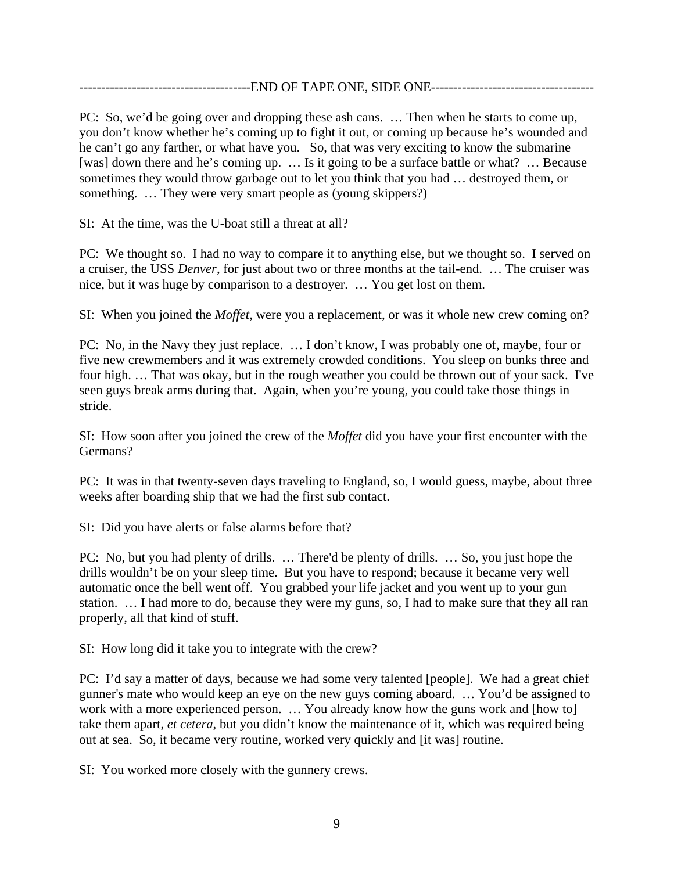----------------END OF TAPE ONE, SIDE ONE-----------------

PC: So, we'd be going over and dropping these ash cans. … Then when he starts to come up, you don't know whether he's coming up to fight it out, or coming up because he's wounded and he can't go any farther, or what have you. So, that was very exciting to know the submarine [was] down there and he's coming up. ... Is it going to be a surface battle or what? ... Because sometimes they would throw garbage out to let you think that you had … destroyed them, or something. ... They were very smart people as (young skippers?)

SI: At the time, was the U-boat still a threat at all?

PC: We thought so. I had no way to compare it to anything else, but we thought so. I served on a cruiser, the USS *Denver*, for just about two or three months at the tail-end. … The cruiser was nice, but it was huge by comparison to a destroyer. … You get lost on them.

SI: When you joined the *Moffet,* were you a replacement, or was it whole new crew coming on?

PC: No, in the Navy they just replace. … I don't know, I was probably one of, maybe, four or five new crewmembers and it was extremely crowded conditions. You sleep on bunks three and four high. … That was okay, but in the rough weather you could be thrown out of your sack. I've seen guys break arms during that. Again, when you're young, you could take those things in stride.

SI: How soon after you joined the crew of the *Moffet* did you have your first encounter with the Germans?

PC: It was in that twenty-seven days traveling to England, so, I would guess, maybe, about three weeks after boarding ship that we had the first sub contact.

SI: Did you have alerts or false alarms before that?

PC: No, but you had plenty of drills. … There'd be plenty of drills. … So, you just hope the drills wouldn't be on your sleep time. But you have to respond; because it became very well automatic once the bell went off. You grabbed your life jacket and you went up to your gun station. … I had more to do, because they were my guns, so, I had to make sure that they all ran properly, all that kind of stuff.

SI: How long did it take you to integrate with the crew?

PC: I'd say a matter of days, because we had some very talented [people]. We had a great chief gunner's mate who would keep an eye on the new guys coming aboard. … You'd be assigned to work with a more experienced person. ... You already know how the guns work and [how to] take them apart, *et cetera*, but you didn't know the maintenance of it, which was required being out at sea. So, it became very routine, worked very quickly and [it was] routine.

SI: You worked more closely with the gunnery crews.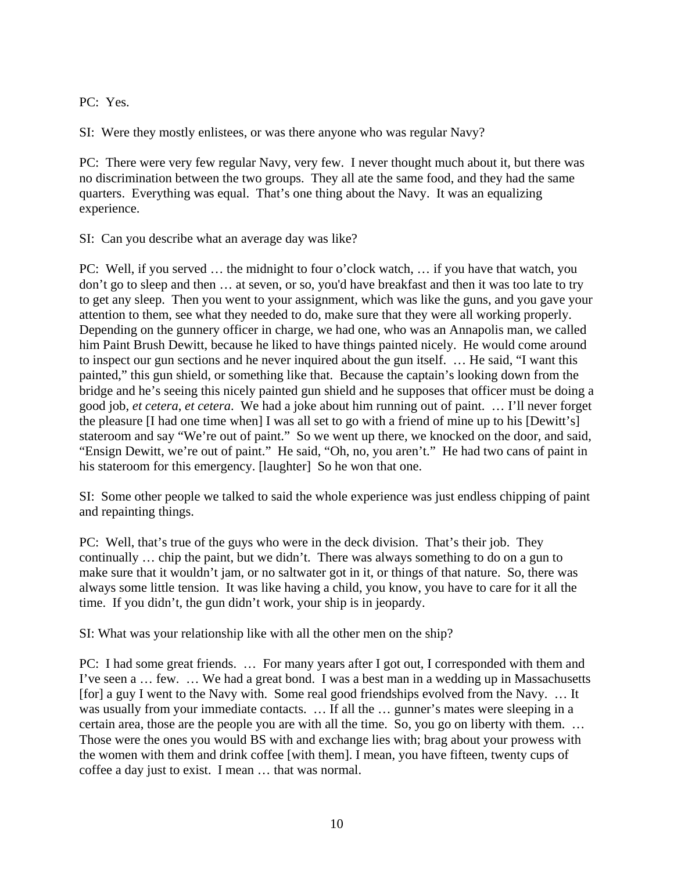PC: Yes.

SI: Were they mostly enlistees, or was there anyone who was regular Navy?

PC: There were very few regular Navy, very few. I never thought much about it, but there was no discrimination between the two groups. They all ate the same food, and they had the same quarters. Everything was equal. That's one thing about the Navy. It was an equalizing experience.

SI: Can you describe what an average day was like?

PC: Well, if you served … the midnight to four o'clock watch, … if you have that watch, you don't go to sleep and then … at seven, or so, you'd have breakfast and then it was too late to try to get any sleep. Then you went to your assignment, which was like the guns, and you gave your attention to them, see what they needed to do, make sure that they were all working properly. Depending on the gunnery officer in charge, we had one, who was an Annapolis man, we called him Paint Brush Dewitt, because he liked to have things painted nicely. He would come around to inspect our gun sections and he never inquired about the gun itself. … He said, "I want this painted," this gun shield, or something like that. Because the captain's looking down from the bridge and he's seeing this nicely painted gun shield and he supposes that officer must be doing a good job, *et cetera*, *et cetera*. We had a joke about him running out of paint. … I'll never forget the pleasure [I had one time when] I was all set to go with a friend of mine up to his [Dewitt's] stateroom and say "We're out of paint." So we went up there, we knocked on the door, and said, "Ensign Dewitt, we're out of paint." He said, "Oh, no, you aren't." He had two cans of paint in his stateroom for this emergency. [laughter] So he won that one.

SI: Some other people we talked to said the whole experience was just endless chipping of paint and repainting things.

PC: Well, that's true of the guys who were in the deck division. That's their job. They continually … chip the paint, but we didn't. There was always something to do on a gun to make sure that it wouldn't jam, or no saltwater got in it, or things of that nature. So, there was always some little tension. It was like having a child, you know, you have to care for it all the time. If you didn't, the gun didn't work, your ship is in jeopardy.

SI: What was your relationship like with all the other men on the ship?

PC: I had some great friends. … For many years after I got out, I corresponded with them and I've seen a … few. … We had a great bond. I was a best man in a wedding up in Massachusetts [for] a guy I went to the Navy with. Some real good friendships evolved from the Navy. … It was usually from your immediate contacts. … If all the … gunner's mates were sleeping in a certain area, those are the people you are with all the time. So, you go on liberty with them. … Those were the ones you would BS with and exchange lies with; brag about your prowess with the women with them and drink coffee [with them]. I mean, you have fifteen, twenty cups of coffee a day just to exist. I mean … that was normal.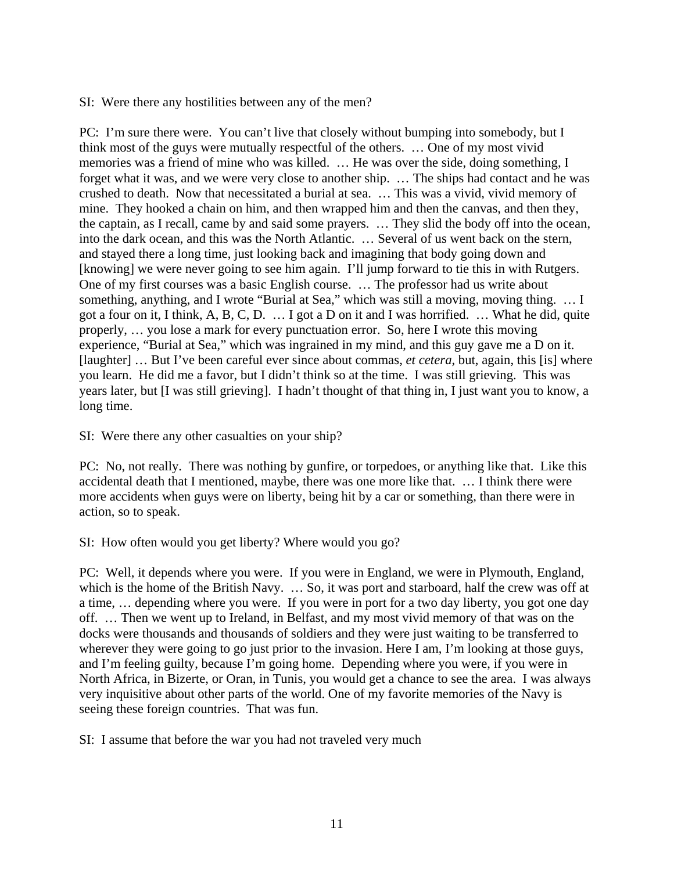SI: Were there any hostilities between any of the men?

PC: I'm sure there were. You can't live that closely without bumping into somebody, but I think most of the guys were mutually respectful of the others. … One of my most vivid memories was a friend of mine who was killed. … He was over the side, doing something, I forget what it was, and we were very close to another ship. … The ships had contact and he was crushed to death. Now that necessitated a burial at sea. … This was a vivid, vivid memory of mine. They hooked a chain on him, and then wrapped him and then the canvas, and then they, the captain, as I recall, came by and said some prayers. … They slid the body off into the ocean, into the dark ocean, and this was the North Atlantic. … Several of us went back on the stern, and stayed there a long time, just looking back and imagining that body going down and [knowing] we were never going to see him again. I'll jump forward to tie this in with Rutgers. One of my first courses was a basic English course. … The professor had us write about something, anything, and I wrote "Burial at Sea," which was still a moving, moving thing. … I got a four on it, I think, A, B, C, D. … I got a D on it and I was horrified. … What he did, quite properly, … you lose a mark for every punctuation error. So, here I wrote this moving experience, "Burial at Sea," which was ingrained in my mind, and this guy gave me a D on it. [laughter] … But I've been careful ever since about commas, *et cetera*, but, again, this [is] where you learn. He did me a favor, but I didn't think so at the time. I was still grieving. This was years later, but [I was still grieving]. I hadn't thought of that thing in, I just want you to know, a long time.

SI: Were there any other casualties on your ship?

PC: No, not really. There was nothing by gunfire, or torpedoes, or anything like that. Like this accidental death that I mentioned, maybe, there was one more like that. … I think there were more accidents when guys were on liberty, being hit by a car or something, than there were in action, so to speak.

SI: How often would you get liberty? Where would you go?

PC: Well, it depends where you were. If you were in England, we were in Plymouth, England, which is the home of the British Navy. ... So, it was port and starboard, half the crew was off at a time, … depending where you were. If you were in port for a two day liberty, you got one day off. … Then we went up to Ireland, in Belfast, and my most vivid memory of that was on the docks were thousands and thousands of soldiers and they were just waiting to be transferred to wherever they were going to go just prior to the invasion. Here I am, I'm looking at those guys, and I'm feeling guilty, because I'm going home. Depending where you were, if you were in North Africa, in Bizerte, or Oran, in Tunis, you would get a chance to see the area. I was always very inquisitive about other parts of the world. One of my favorite memories of the Navy is seeing these foreign countries. That was fun.

SI: I assume that before the war you had not traveled very much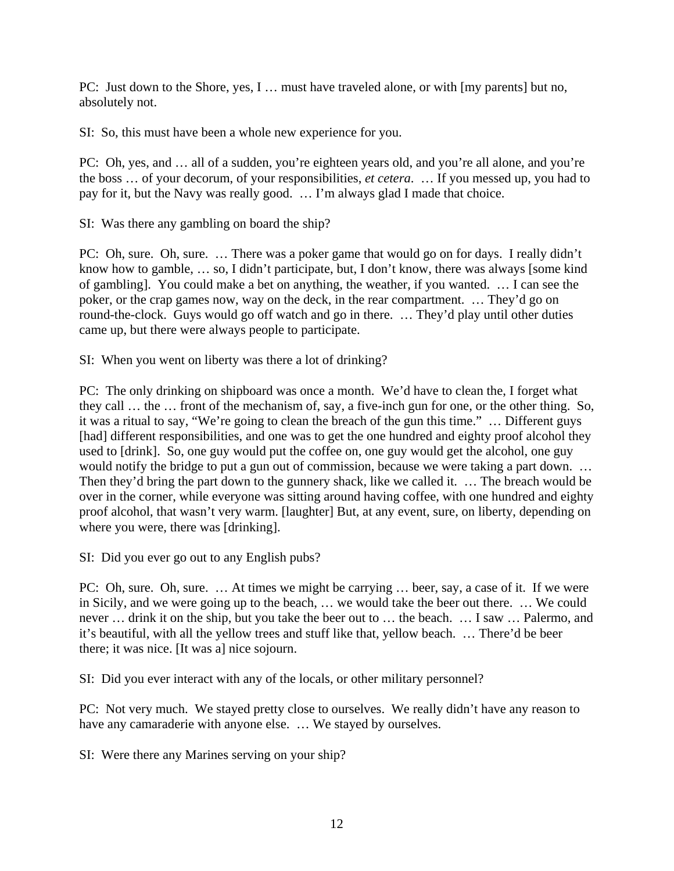PC: Just down to the Shore, yes, I … must have traveled alone, or with [my parents] but no, absolutely not.

SI: So, this must have been a whole new experience for you.

PC: Oh, yes, and … all of a sudden, you're eighteen years old, and you're all alone, and you're the boss … of your decorum, of your responsibilities, *et cetera*. … If you messed up, you had to pay for it, but the Navy was really good. … I'm always glad I made that choice.

SI: Was there any gambling on board the ship?

PC: Oh, sure. Oh, sure. … There was a poker game that would go on for days. I really didn't know how to gamble, … so, I didn't participate, but, I don't know, there was always [some kind of gambling]. You could make a bet on anything, the weather, if you wanted. … I can see the poker, or the crap games now, way on the deck, in the rear compartment. … They'd go on round-the-clock. Guys would go off watch and go in there. … They'd play until other duties came up, but there were always people to participate.

SI: When you went on liberty was there a lot of drinking?

PC: The only drinking on shipboard was once a month. We'd have to clean the, I forget what they call … the … front of the mechanism of, say, a five-inch gun for one, or the other thing. So, it was a ritual to say, "We're going to clean the breach of the gun this time." … Different guys [had] different responsibilities, and one was to get the one hundred and eighty proof alcohol they used to [drink]. So, one guy would put the coffee on, one guy would get the alcohol, one guy would notify the bridge to put a gun out of commission, because we were taking a part down. ... Then they'd bring the part down to the gunnery shack, like we called it. … The breach would be over in the corner, while everyone was sitting around having coffee, with one hundred and eighty proof alcohol, that wasn't very warm. [laughter] But, at any event, sure, on liberty, depending on where you were, there was [drinking].

SI: Did you ever go out to any English pubs?

PC: Oh, sure. Oh, sure. … At times we might be carrying … beer, say, a case of it. If we were in Sicily, and we were going up to the beach, … we would take the beer out there. … We could never … drink it on the ship, but you take the beer out to … the beach. … I saw … Palermo, and it's beautiful, with all the yellow trees and stuff like that, yellow beach. … There'd be beer there; it was nice. [It was a] nice sojourn.

SI: Did you ever interact with any of the locals, or other military personnel?

PC: Not very much. We stayed pretty close to ourselves. We really didn't have any reason to have any camaraderie with anyone else. ... We stayed by ourselves.

SI: Were there any Marines serving on your ship?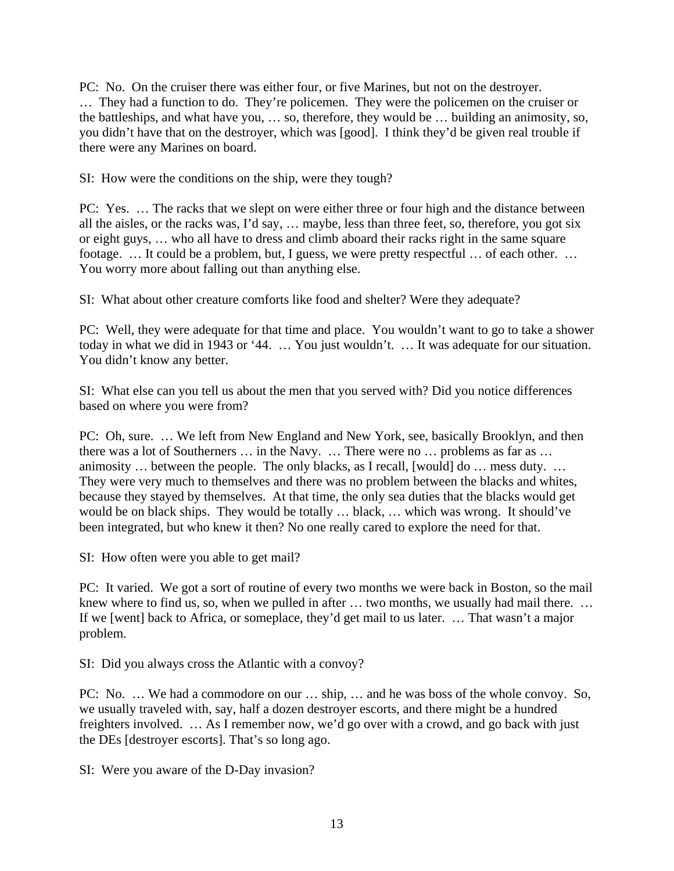PC: No. On the cruiser there was either four, or five Marines, but not on the destroyer. … They had a function to do. They're policemen. They were the policemen on the cruiser or the battleships, and what have you, … so, therefore, they would be … building an animosity, so, you didn't have that on the destroyer, which was [good]. I think they'd be given real trouble if there were any Marines on board.

SI: How were the conditions on the ship, were they tough?

PC: Yes. … The racks that we slept on were either three or four high and the distance between all the aisles, or the racks was, I'd say, … maybe, less than three feet, so, therefore, you got six or eight guys, … who all have to dress and climb aboard their racks right in the same square footage. … It could be a problem, but, I guess, we were pretty respectful … of each other. … You worry more about falling out than anything else.

SI: What about other creature comforts like food and shelter? Were they adequate?

PC: Well, they were adequate for that time and place. You wouldn't want to go to take a shower today in what we did in 1943 or '44. … You just wouldn't. … It was adequate for our situation. You didn't know any better.

SI: What else can you tell us about the men that you served with? Did you notice differences based on where you were from?

PC: Oh, sure. … We left from New England and New York, see, basically Brooklyn, and then there was a lot of Southerners … in the Navy. … There were no … problems as far as … animosity … between the people. The only blacks, as I recall, [would] do … mess duty. … They were very much to themselves and there was no problem between the blacks and whites, because they stayed by themselves. At that time, the only sea duties that the blacks would get would be on black ships. They would be totally … black, … which was wrong. It should've been integrated, but who knew it then? No one really cared to explore the need for that.

SI: How often were you able to get mail?

PC: It varied. We got a sort of routine of every two months we were back in Boston, so the mail knew where to find us, so, when we pulled in after … two months, we usually had mail there. … If we [went] back to Africa, or someplace, they'd get mail to us later. … That wasn't a major problem.

SI: Did you always cross the Atlantic with a convoy?

PC: No. … We had a commodore on our … ship, … and he was boss of the whole convoy. So, we usually traveled with, say, half a dozen destroyer escorts, and there might be a hundred freighters involved. … As I remember now, we'd go over with a crowd, and go back with just the DEs [destroyer escorts]. That's so long ago.

SI: Were you aware of the D-Day invasion?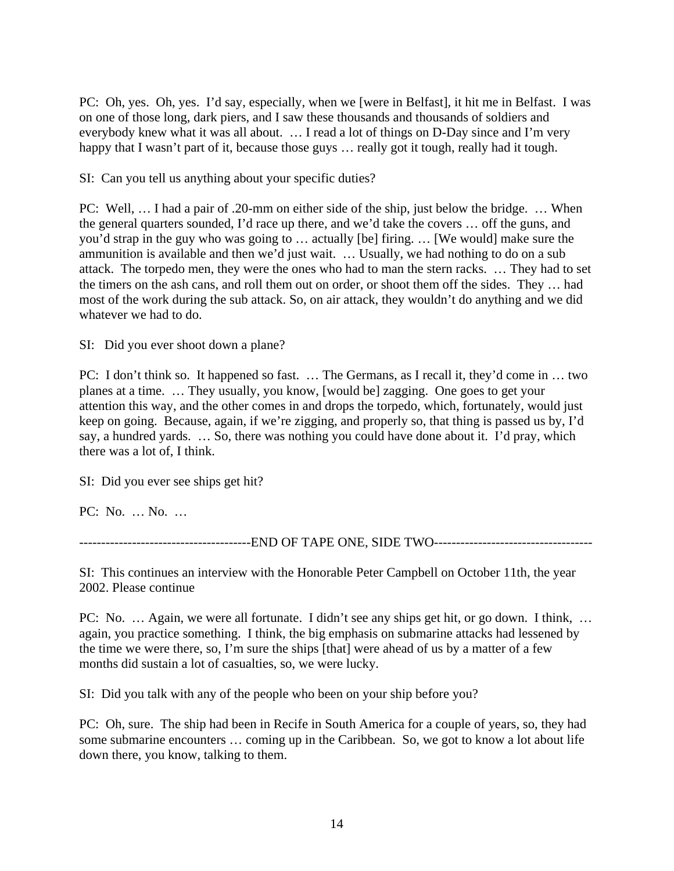PC: Oh, yes. Oh, yes. I'd say, especially, when we [were in Belfast], it hit me in Belfast. I was on one of those long, dark piers, and I saw these thousands and thousands of soldiers and everybody knew what it was all about. … I read a lot of things on D-Day since and I'm very happy that I wasn't part of it, because those guys ... really got it tough, really had it tough.

SI: Can you tell us anything about your specific duties?

PC: Well, … I had a pair of .20-mm on either side of the ship, just below the bridge. … When the general quarters sounded, I'd race up there, and we'd take the covers … off the guns, and you'd strap in the guy who was going to … actually [be] firing. … [We would] make sure the ammunition is available and then we'd just wait. … Usually, we had nothing to do on a sub attack. The torpedo men, they were the ones who had to man the stern racks. … They had to set the timers on the ash cans, and roll them out on order, or shoot them off the sides. They … had most of the work during the sub attack. So, on air attack, they wouldn't do anything and we did whatever we had to do.

SI: Did you ever shoot down a plane?

PC: I don't think so. It happened so fast. … The Germans, as I recall it, they'd come in … two planes at a time. … They usually, you know, [would be] zagging. One goes to get your attention this way, and the other comes in and drops the torpedo, which, fortunately, would just keep on going. Because, again, if we're zigging, and properly so, that thing is passed us by, I'd say, a hundred yards. … So, there was nothing you could have done about it. I'd pray, which there was a lot of, I think.

SI: Did you ever see ships get hit?

PC: No. … No. …

----------------------------END OF TAPE ONE, SIDE TWO-------------------------------

SI: This continues an interview with the Honorable Peter Campbell on October 11th, the year 2002. Please continue

PC: No. … Again, we were all fortunate. I didn't see any ships get hit, or go down. I think, … again, you practice something. I think, the big emphasis on submarine attacks had lessened by the time we were there, so, I'm sure the ships [that] were ahead of us by a matter of a few months did sustain a lot of casualties, so, we were lucky.

SI: Did you talk with any of the people who been on your ship before you?

PC: Oh, sure. The ship had been in Recife in South America for a couple of years, so, they had some submarine encounters … coming up in the Caribbean. So, we got to know a lot about life down there, you know, talking to them.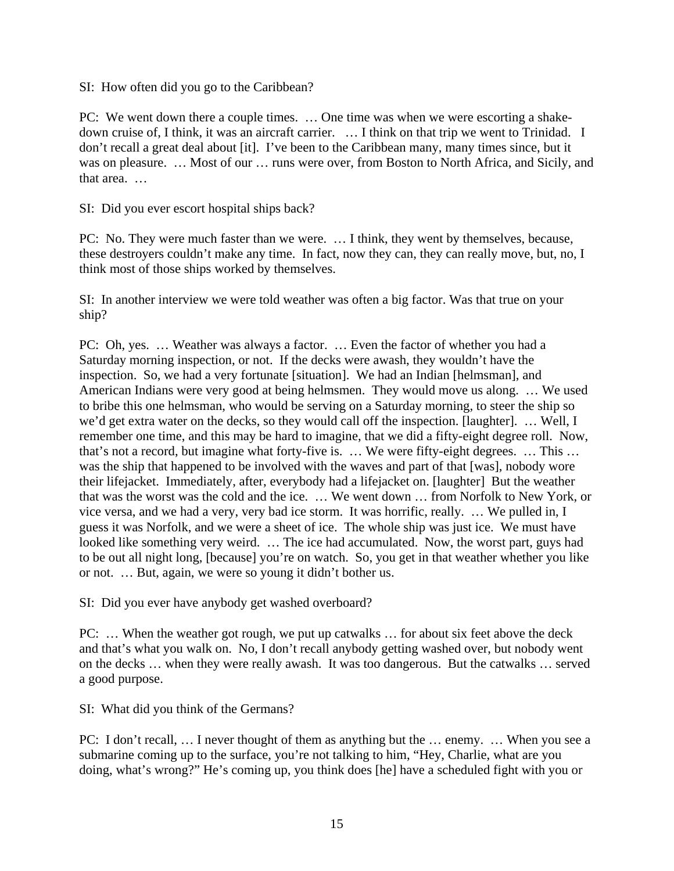SI: How often did you go to the Caribbean?

PC: We went down there a couple times. … One time was when we were escorting a shakedown cruise of, I think, it was an aircraft carrier. … I think on that trip we went to Trinidad. I don't recall a great deal about [it]. I've been to the Caribbean many, many times since, but it was on pleasure. … Most of our … runs were over, from Boston to North Africa, and Sicily, and that area. …

SI: Did you ever escort hospital ships back?

PC: No. They were much faster than we were. … I think, they went by themselves, because, these destroyers couldn't make any time. In fact, now they can, they can really move, but, no, I think most of those ships worked by themselves.

SI: In another interview we were told weather was often a big factor. Was that true on your ship?

PC: Oh, yes. … Weather was always a factor. … Even the factor of whether you had a Saturday morning inspection, or not. If the decks were awash, they wouldn't have the inspection. So, we had a very fortunate [situation]. We had an Indian [helmsman], and American Indians were very good at being helmsmen. They would move us along. … We used to bribe this one helmsman, who would be serving on a Saturday morning, to steer the ship so we'd get extra water on the decks, so they would call off the inspection. [laughter]. … Well, I remember one time, and this may be hard to imagine, that we did a fifty-eight degree roll. Now, that's not a record, but imagine what forty-five is. … We were fifty-eight degrees. … This … was the ship that happened to be involved with the waves and part of that [was], nobody wore their lifejacket. Immediately, after, everybody had a lifejacket on. [laughter] But the weather that was the worst was the cold and the ice. … We went down … from Norfolk to New York, or vice versa, and we had a very, very bad ice storm. It was horrific, really. … We pulled in, I guess it was Norfolk, and we were a sheet of ice. The whole ship was just ice. We must have looked like something very weird. … The ice had accumulated. Now, the worst part, guys had to be out all night long, [because] you're on watch. So, you get in that weather whether you like or not. … But, again, we were so young it didn't bother us.

SI: Did you ever have anybody get washed overboard?

PC: … When the weather got rough, we put up catwalks … for about six feet above the deck and that's what you walk on. No, I don't recall anybody getting washed over, but nobody went on the decks … when they were really awash. It was too dangerous. But the catwalks … served a good purpose.

SI: What did you think of the Germans?

PC: I don't recall, … I never thought of them as anything but the … enemy. … When you see a submarine coming up to the surface, you're not talking to him, "Hey, Charlie, what are you doing, what's wrong?" He's coming up, you think does [he] have a scheduled fight with you or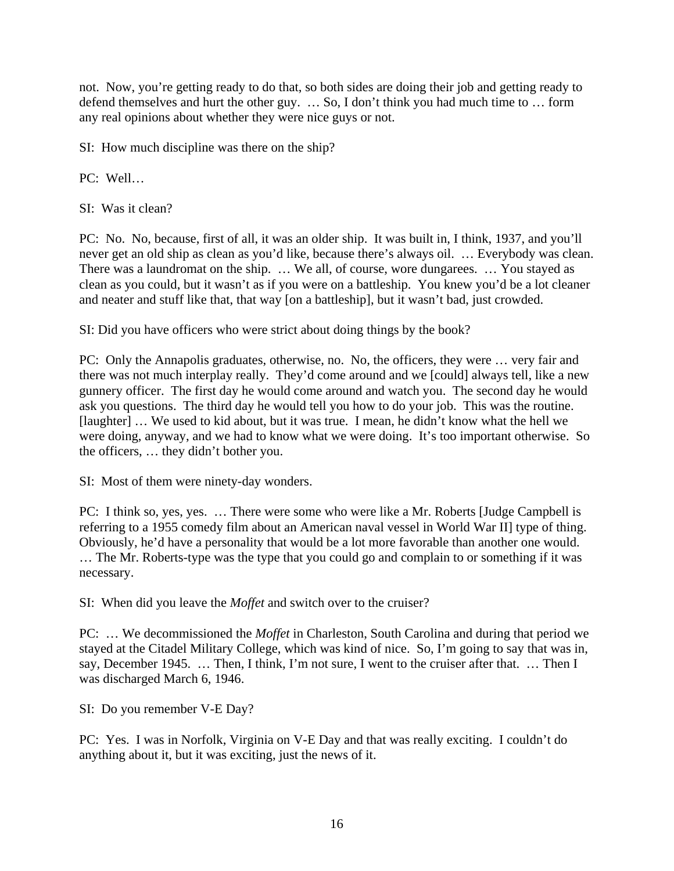not. Now, you're getting ready to do that, so both sides are doing their job and getting ready to defend themselves and hurt the other guy. … So, I don't think you had much time to … form any real opinions about whether they were nice guys or not.

SI: How much discipline was there on the ship?

PC: Well…

SI: Was it clean?

PC: No. No, because, first of all, it was an older ship. It was built in, I think, 1937, and you'll never get an old ship as clean as you'd like, because there's always oil. … Everybody was clean. There was a laundromat on the ship. … We all, of course, wore dungarees. … You stayed as clean as you could, but it wasn't as if you were on a battleship. You knew you'd be a lot cleaner and neater and stuff like that, that way [on a battleship], but it wasn't bad, just crowded.

SI: Did you have officers who were strict about doing things by the book?

PC: Only the Annapolis graduates, otherwise, no. No, the officers, they were … very fair and there was not much interplay really. They'd come around and we [could] always tell, like a new gunnery officer. The first day he would come around and watch you. The second day he would ask you questions. The third day he would tell you how to do your job. This was the routine. [laughter] ... We used to kid about, but it was true. I mean, he didn't know what the hell we were doing, anyway, and we had to know what we were doing. It's too important otherwise. So the officers, … they didn't bother you.

SI: Most of them were ninety-day wonders.

PC: I think so, yes, yes. … There were some who were like a Mr. Roberts [Judge Campbell is referring to a 1955 comedy film about an American naval vessel in World War II] type of thing. Obviously, he'd have a personality that would be a lot more favorable than another one would. … The Mr. Roberts-type was the type that you could go and complain to or something if it was necessary.

SI: When did you leave the *Moffet* and switch over to the cruiser?

PC: … We decommissioned the *Moffet* in Charleston, South Carolina and during that period we stayed at the Citadel Military College, which was kind of nice. So, I'm going to say that was in, say, December 1945. … Then, I think, I'm not sure, I went to the cruiser after that. … Then I was discharged March 6, 1946.

SI: Do you remember V-E Day?

PC: Yes. I was in Norfolk, Virginia on V-E Day and that was really exciting. I couldn't do anything about it, but it was exciting, just the news of it.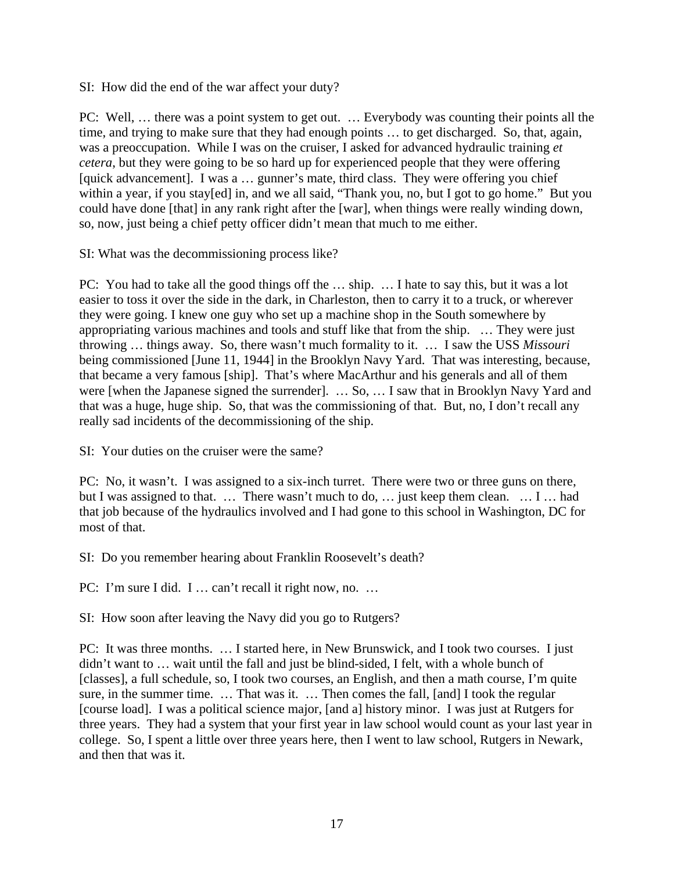SI: How did the end of the war affect your duty?

PC: Well, … there was a point system to get out. … Everybody was counting their points all the time, and trying to make sure that they had enough points … to get discharged. So, that, again, was a preoccupation. While I was on the cruiser, I asked for advanced hydraulic training *et cetera*, but they were going to be so hard up for experienced people that they were offering [quick advancement]. I was a ... gunner's mate, third class. They were offering you chief within a year, if you stay[ed] in, and we all said, "Thank you, no, but I got to go home." But you could have done [that] in any rank right after the [war], when things were really winding down, so, now, just being a chief petty officer didn't mean that much to me either.

SI: What was the decommissioning process like?

PC: You had to take all the good things off the … ship. … I hate to say this, but it was a lot easier to toss it over the side in the dark, in Charleston, then to carry it to a truck, or wherever they were going. I knew one guy who set up a machine shop in the South somewhere by appropriating various machines and tools and stuff like that from the ship. … They were just throwing … things away. So, there wasn't much formality to it. … I saw the USS *Missouri* being commissioned [June 11, 1944] in the Brooklyn Navy Yard. That was interesting, because, that became a very famous [ship]. That's where MacArthur and his generals and all of them were [when the Japanese signed the surrender]. … So, … I saw that in Brooklyn Navy Yard and that was a huge, huge ship. So, that was the commissioning of that. But, no, I don't recall any really sad incidents of the decommissioning of the ship.

SI: Your duties on the cruiser were the same?

PC: No, it wasn't. I was assigned to a six-inch turret. There were two or three guns on there, but I was assigned to that. … There wasn't much to do, … just keep them clean. … I … had that job because of the hydraulics involved and I had gone to this school in Washington, DC for most of that.

SI: Do you remember hearing about Franklin Roosevelt's death?

PC: I'm sure I did. I … can't recall it right now, no. …

SI: How soon after leaving the Navy did you go to Rutgers?

PC: It was three months. … I started here, in New Brunswick, and I took two courses. I just didn't want to … wait until the fall and just be blind-sided, I felt, with a whole bunch of [classes], a full schedule, so, I took two courses, an English, and then a math course, I'm quite sure, in the summer time. … That was it. … Then comes the fall, [and] I took the regular [course load]. I was a political science major, [and a] history minor. I was just at Rutgers for three years. They had a system that your first year in law school would count as your last year in college. So, I spent a little over three years here, then I went to law school, Rutgers in Newark, and then that was it.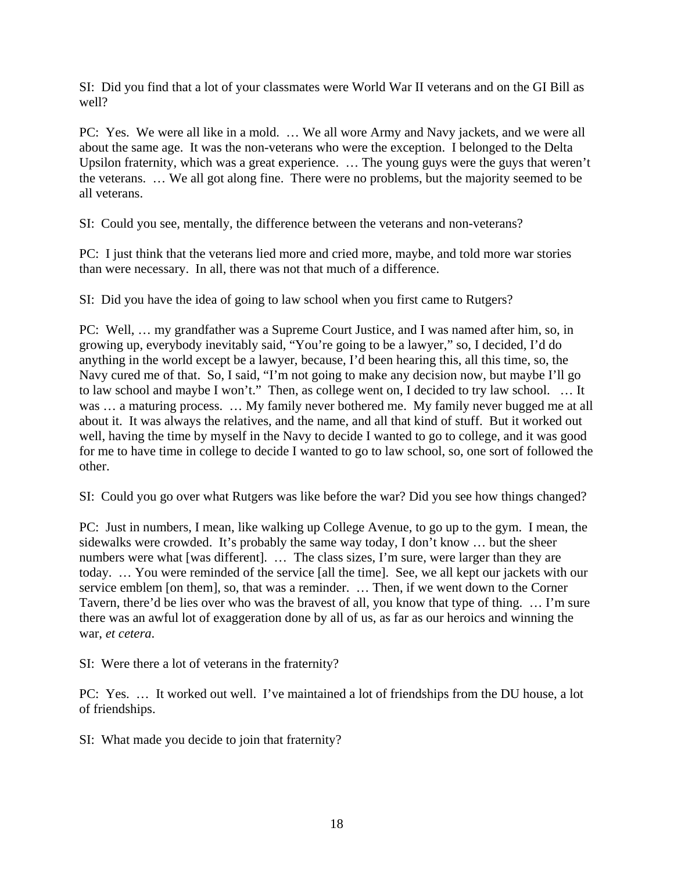SI: Did you find that a lot of your classmates were World War II veterans and on the GI Bill as well?

PC: Yes. We were all like in a mold. … We all wore Army and Navy jackets, and we were all about the same age. It was the non-veterans who were the exception. I belonged to the Delta Upsilon fraternity, which was a great experience. … The young guys were the guys that weren't the veterans. … We all got along fine. There were no problems, but the majority seemed to be all veterans.

SI: Could you see, mentally, the difference between the veterans and non-veterans?

PC: I just think that the veterans lied more and cried more, maybe, and told more war stories than were necessary. In all, there was not that much of a difference.

SI: Did you have the idea of going to law school when you first came to Rutgers?

PC: Well, … my grandfather was a Supreme Court Justice, and I was named after him, so, in growing up, everybody inevitably said, "You're going to be a lawyer," so, I decided, I'd do anything in the world except be a lawyer, because, I'd been hearing this, all this time, so, the Navy cured me of that. So, I said, "I'm not going to make any decision now, but maybe I'll go to law school and maybe I won't." Then, as college went on, I decided to try law school. … It was ... a maturing process. ... My family never bothered me. My family never bugged me at all about it. It was always the relatives, and the name, and all that kind of stuff. But it worked out well, having the time by myself in the Navy to decide I wanted to go to college, and it was good for me to have time in college to decide I wanted to go to law school, so, one sort of followed the other.

SI: Could you go over what Rutgers was like before the war? Did you see how things changed?

PC: Just in numbers, I mean, like walking up College Avenue, to go up to the gym. I mean, the sidewalks were crowded. It's probably the same way today, I don't know … but the sheer numbers were what [was different]. ... The class sizes, I'm sure, were larger than they are today. … You were reminded of the service [all the time]. See, we all kept our jackets with our service emblem [on them], so, that was a reminder. … Then, if we went down to the Corner Tavern, there'd be lies over who was the bravest of all, you know that type of thing. … I'm sure there was an awful lot of exaggeration done by all of us, as far as our heroics and winning the war, *et cetera*.

SI: Were there a lot of veterans in the fraternity?

PC: Yes. … It worked out well. I've maintained a lot of friendships from the DU house, a lot of friendships.

SI: What made you decide to join that fraternity?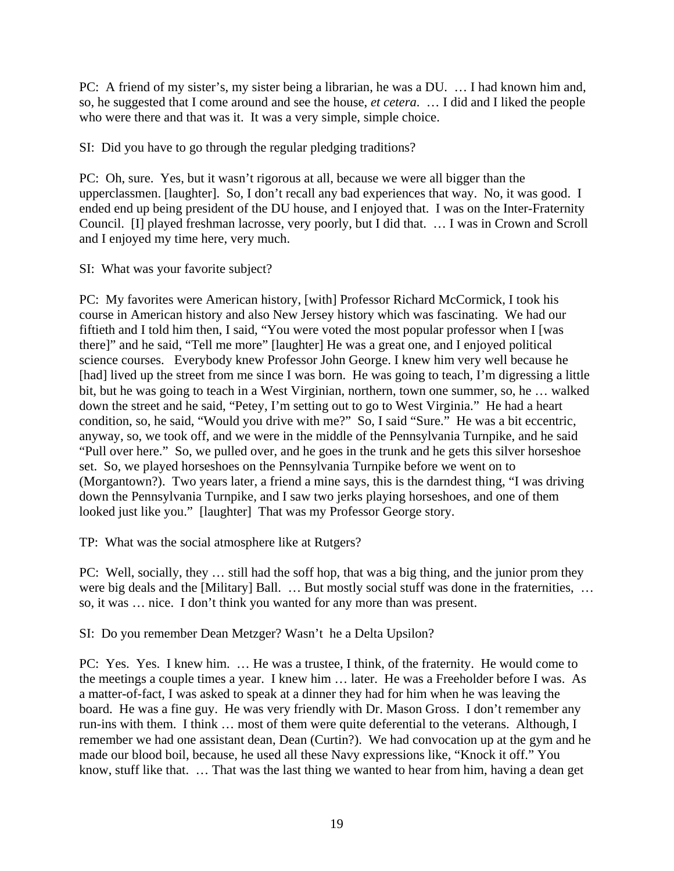PC: A friend of my sister's, my sister being a librarian, he was a DU. … I had known him and, so, he suggested that I come around and see the house, *et cetera*. … I did and I liked the people who were there and that was it. It was a very simple, simple choice.

SI: Did you have to go through the regular pledging traditions?

PC: Oh, sure. Yes, but it wasn't rigorous at all, because we were all bigger than the upperclassmen. [laughter]. So, I don't recall any bad experiences that way. No, it was good. I ended end up being president of the DU house, and I enjoyed that. I was on the Inter-Fraternity Council. [I] played freshman lacrosse, very poorly, but I did that. … I was in Crown and Scroll and I enjoyed my time here, very much.

SI: What was your favorite subject?

PC: My favorites were American history, [with] Professor Richard McCormick, I took his course in American history and also New Jersey history which was fascinating. We had our fiftieth and I told him then, I said, "You were voted the most popular professor when I [was there]" and he said, "Tell me more" [laughter] He was a great one, and I enjoyed political science courses. Everybody knew Professor John George. I knew him very well because he [had] lived up the street from me since I was born. He was going to teach, I'm digressing a little bit, but he was going to teach in a West Virginian, northern, town one summer, so, he … walked down the street and he said, "Petey, I'm setting out to go to West Virginia." He had a heart condition, so, he said, "Would you drive with me?" So, I said "Sure." He was a bit eccentric, anyway, so, we took off, and we were in the middle of the Pennsylvania Turnpike, and he said "Pull over here." So, we pulled over, and he goes in the trunk and he gets this silver horseshoe set. So, we played horseshoes on the Pennsylvania Turnpike before we went on to (Morgantown?). Two years later, a friend a mine says, this is the darndest thing, "I was driving down the Pennsylvania Turnpike, and I saw two jerks playing horseshoes, and one of them looked just like you." [laughter] That was my Professor George story.

TP: What was the social atmosphere like at Rutgers?

PC: Well, socially, they … still had the soff hop, that was a big thing, and the junior prom they were big deals and the [Military] Ball. ... But mostly social stuff was done in the fraternities, ... so, it was … nice. I don't think you wanted for any more than was present.

SI: Do you remember Dean Metzger? Wasn't he a Delta Upsilon?

PC: Yes. Yes. I knew him. … He was a trustee, I think, of the fraternity. He would come to the meetings a couple times a year. I knew him … later. He was a Freeholder before I was. As a matter-of-fact, I was asked to speak at a dinner they had for him when he was leaving the board. He was a fine guy. He was very friendly with Dr. Mason Gross. I don't remember any run-ins with them. I think … most of them were quite deferential to the veterans. Although, I remember we had one assistant dean, Dean (Curtin?). We had convocation up at the gym and he made our blood boil, because, he used all these Navy expressions like, "Knock it off." You know, stuff like that. … That was the last thing we wanted to hear from him, having a dean get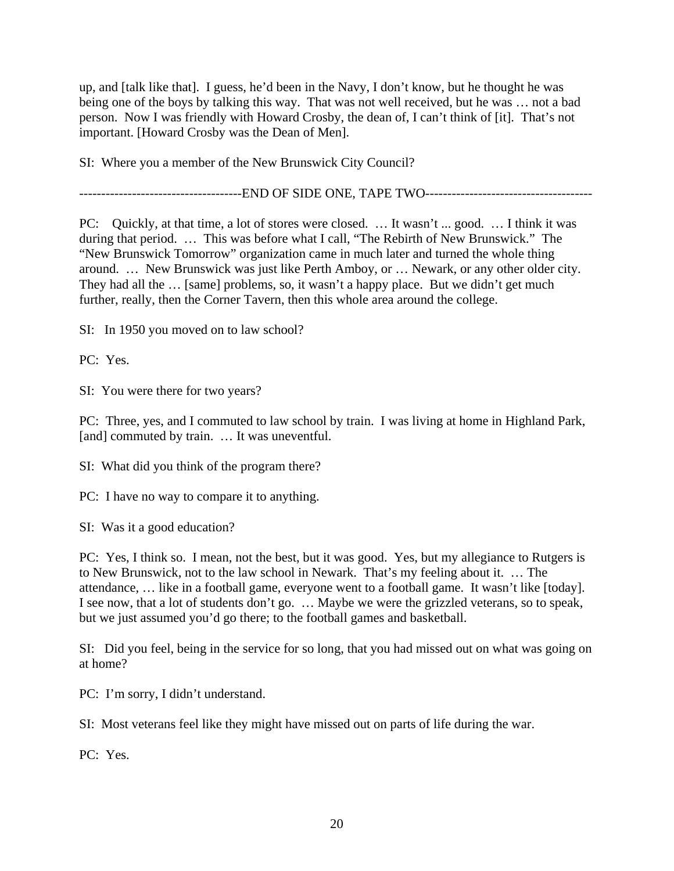up, and [talk like that]. I guess, he'd been in the Navy, I don't know, but he thought he was being one of the boys by talking this way. That was not well received, but he was … not a bad person. Now I was friendly with Howard Crosby, the dean of, I can't think of [it]. That's not important. [Howard Crosby was the Dean of Men].

SI: Where you a member of the New Brunswick City Council?

----------------------END OF SIDE ONE, TAPE TWO----------------------------------

PC: Quickly, at that time, a lot of stores were closed. … It wasn't ... good. … I think it was during that period. … This was before what I call, "The Rebirth of New Brunswick." The "New Brunswick Tomorrow" organization came in much later and turned the whole thing around. … New Brunswick was just like Perth Amboy, or … Newark, or any other older city. They had all the … [same] problems, so, it wasn't a happy place. But we didn't get much further, really, then the Corner Tavern, then this whole area around the college.

SI: In 1950 you moved on to law school?

PC: Yes.

SI: You were there for two years?

PC: Three, yes, and I commuted to law school by train. I was living at home in Highland Park, [and] commuted by train. ... It was uneventful.

SI: What did you think of the program there?

PC: I have no way to compare it to anything.

SI: Was it a good education?

PC: Yes, I think so. I mean, not the best, but it was good. Yes, but my allegiance to Rutgers is to New Brunswick, not to the law school in Newark. That's my feeling about it. … The attendance, … like in a football game, everyone went to a football game. It wasn't like [today]. I see now, that a lot of students don't go. … Maybe we were the grizzled veterans, so to speak, but we just assumed you'd go there; to the football games and basketball.

SI: Did you feel, being in the service for so long, that you had missed out on what was going on at home?

PC: I'm sorry, I didn't understand.

SI: Most veterans feel like they might have missed out on parts of life during the war.

PC: Yes.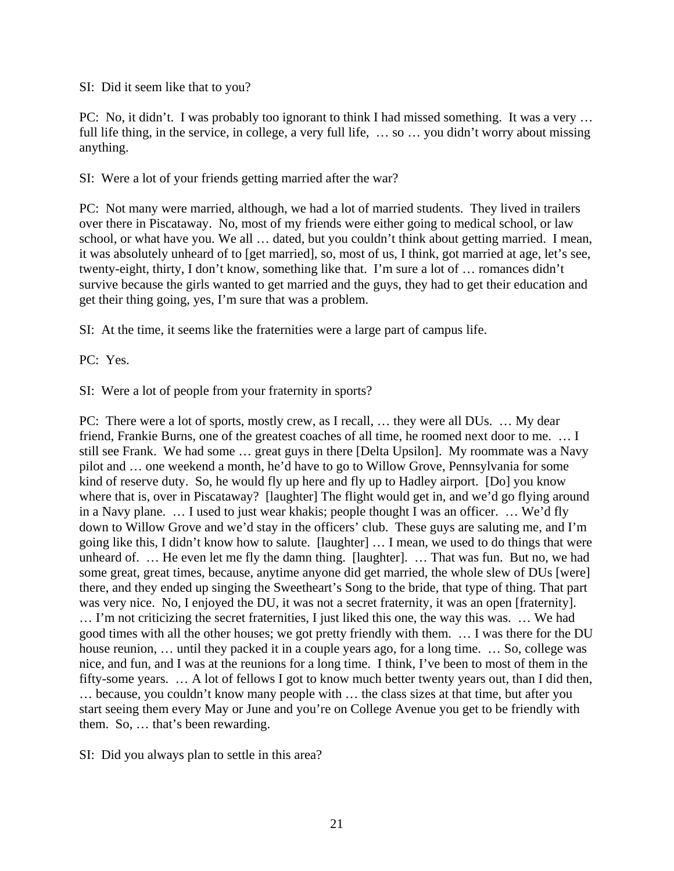### SI: Did it seem like that to you?

PC: No, it didn't. I was probably too ignorant to think I had missed something. It was a very … full life thing, in the service, in college, a very full life, ... so ... you didn't worry about missing anything.

SI: Were a lot of your friends getting married after the war?

PC: Not many were married, although, we had a lot of married students. They lived in trailers over there in Piscataway. No, most of my friends were either going to medical school, or law school, or what have you. We all … dated, but you couldn't think about getting married. I mean, it was absolutely unheard of to [get married], so, most of us, I think, got married at age, let's see, twenty-eight, thirty, I don't know, something like that. I'm sure a lot of … romances didn't survive because the girls wanted to get married and the guys, they had to get their education and get their thing going, yes, I'm sure that was a problem.

SI: At the time, it seems like the fraternities were a large part of campus life.

PC: Yes.

SI: Were a lot of people from your fraternity in sports?

PC: There were a lot of sports, mostly crew, as I recall, … they were all DUs. … My dear friend, Frankie Burns, one of the greatest coaches of all time, he roomed next door to me. … I still see Frank. We had some … great guys in there [Delta Upsilon]. My roommate was a Navy pilot and … one weekend a month, he'd have to go to Willow Grove, Pennsylvania for some kind of reserve duty. So, he would fly up here and fly up to Hadley airport. [Do] you know where that is, over in Piscataway? [laughter] The flight would get in, and we'd go flying around in a Navy plane. … I used to just wear khakis; people thought I was an officer. … We'd fly down to Willow Grove and we'd stay in the officers' club. These guys are saluting me, and I'm going like this, I didn't know how to salute. [laughter] … I mean, we used to do things that were unheard of. … He even let me fly the damn thing. [laughter]. … That was fun. But no, we had some great, great times, because, anytime anyone did get married, the whole slew of DUs [were] there, and they ended up singing the Sweetheart's Song to the bride, that type of thing. That part was very nice. No, I enjoyed the DU, it was not a secret fraternity, it was an open [fraternity]. … I'm not criticizing the secret fraternities, I just liked this one, the way this was. … We had good times with all the other houses; we got pretty friendly with them. … I was there for the DU house reunion, ... until they packed it in a couple years ago, for a long time. ... So, college was nice, and fun, and I was at the reunions for a long time. I think, I've been to most of them in the fifty-some years. … A lot of fellows I got to know much better twenty years out, than I did then, … because, you couldn't know many people with … the class sizes at that time, but after you start seeing them every May or June and you're on College Avenue you get to be friendly with them. So, … that's been rewarding.

SI: Did you always plan to settle in this area?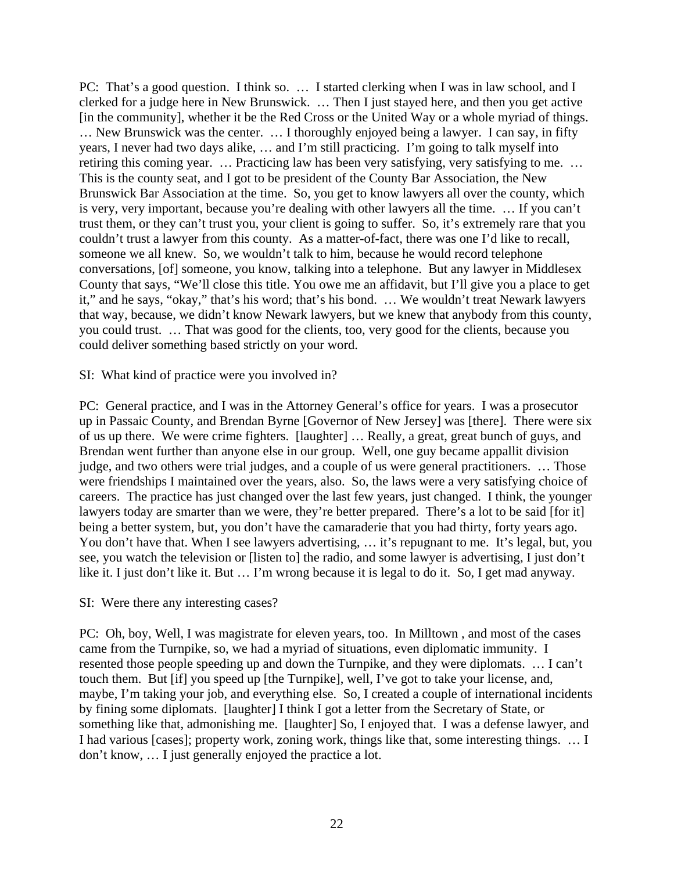PC: That's a good question. I think so. ... I started clerking when I was in law school, and I clerked for a judge here in New Brunswick. … Then I just stayed here, and then you get active [in the community], whether it be the Red Cross or the United Way or a whole myriad of things. … New Brunswick was the center. … I thoroughly enjoyed being a lawyer. I can say, in fifty years, I never had two days alike, … and I'm still practicing. I'm going to talk myself into retiring this coming year. … Practicing law has been very satisfying, very satisfying to me. … This is the county seat, and I got to be president of the County Bar Association, the New Brunswick Bar Association at the time. So, you get to know lawyers all over the county, which is very, very important, because you're dealing with other lawyers all the time. … If you can't trust them, or they can't trust you, your client is going to suffer. So, it's extremely rare that you couldn't trust a lawyer from this county. As a matter-of-fact, there was one I'd like to recall, someone we all knew. So, we wouldn't talk to him, because he would record telephone conversations, [of] someone, you know, talking into a telephone. But any lawyer in Middlesex County that says, "We'll close this title. You owe me an affidavit, but I'll give you a place to get it," and he says, "okay," that's his word; that's his bond. … We wouldn't treat Newark lawyers that way, because, we didn't know Newark lawyers, but we knew that anybody from this county, you could trust. … That was good for the clients, too, very good for the clients, because you could deliver something based strictly on your word.

SI: What kind of practice were you involved in?

PC: General practice, and I was in the Attorney General's office for years. I was a prosecutor up in Passaic County, and Brendan Byrne [Governor of New Jersey] was [there]. There were six of us up there. We were crime fighters. [laughter] … Really, a great, great bunch of guys, and Brendan went further than anyone else in our group. Well, one guy became appallit division judge, and two others were trial judges, and a couple of us were general practitioners. … Those were friendships I maintained over the years, also. So, the laws were a very satisfying choice of careers. The practice has just changed over the last few years, just changed. I think, the younger lawyers today are smarter than we were, they're better prepared. There's a lot to be said [for it] being a better system, but, you don't have the camaraderie that you had thirty, forty years ago. You don't have that. When I see lawyers advertising, ... it's repugnant to me. It's legal, but, you see, you watch the television or [listen to] the radio, and some lawyer is advertising, I just don't like it. I just don't like it. But … I'm wrong because it is legal to do it. So, I get mad anyway.

## SI: Were there any interesting cases?

PC: Oh, boy, Well, I was magistrate for eleven years, too. In Milltown , and most of the cases came from the Turnpike, so, we had a myriad of situations, even diplomatic immunity. I resented those people speeding up and down the Turnpike, and they were diplomats. … I can't touch them. But [if] you speed up [the Turnpike], well, I've got to take your license, and, maybe, I'm taking your job, and everything else. So, I created a couple of international incidents by fining some diplomats. [laughter] I think I got a letter from the Secretary of State, or something like that, admonishing me. [laughter] So, I enjoyed that. I was a defense lawyer, and I had various [cases]; property work, zoning work, things like that, some interesting things. … I don't know, … I just generally enjoyed the practice a lot.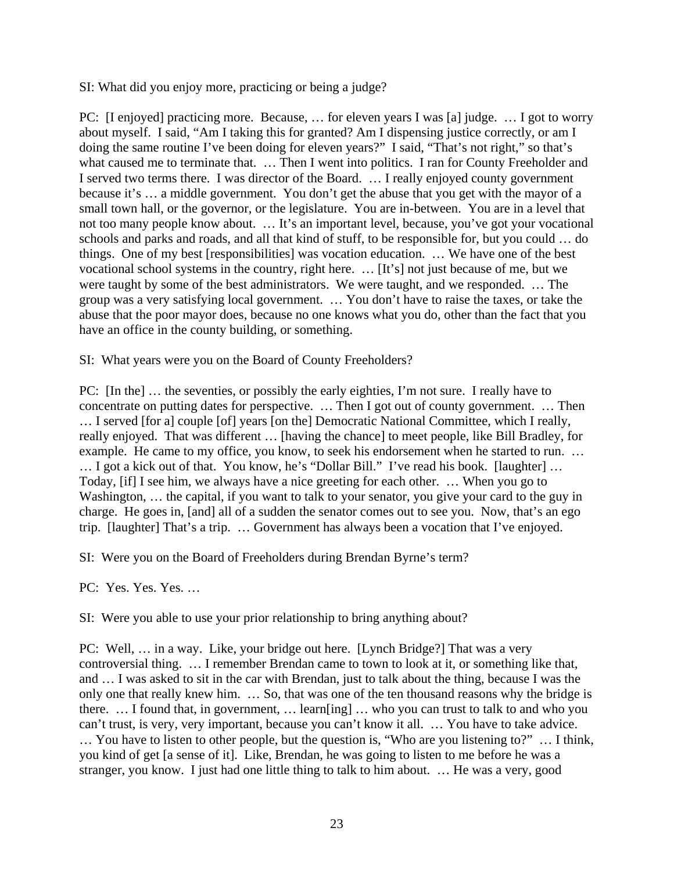SI: What did you enjoy more, practicing or being a judge?

PC: [I enjoyed] practicing more. Because, … for eleven years I was [a] judge. … I got to worry about myself. I said, "Am I taking this for granted? Am I dispensing justice correctly, or am I doing the same routine I've been doing for eleven years?" I said, "That's not right," so that's what caused me to terminate that. ... Then I went into politics. I ran for County Freeholder and I served two terms there. I was director of the Board. … I really enjoyed county government because it's … a middle government. You don't get the abuse that you get with the mayor of a small town hall, or the governor, or the legislature. You are in-between. You are in a level that not too many people know about. … It's an important level, because, you've got your vocational schools and parks and roads, and all that kind of stuff, to be responsible for, but you could … do things. One of my best [responsibilities] was vocation education. … We have one of the best vocational school systems in the country, right here. … [It's] not just because of me, but we were taught by some of the best administrators. We were taught, and we responded. … The group was a very satisfying local government. … You don't have to raise the taxes, or take the abuse that the poor mayor does, because no one knows what you do, other than the fact that you have an office in the county building, or something.

SI: What years were you on the Board of County Freeholders?

PC: [In the] … the seventies, or possibly the early eighties, I'm not sure. I really have to concentrate on putting dates for perspective. … Then I got out of county government. … Then … I served [for a] couple [of] years [on the] Democratic National Committee, which I really, really enjoyed. That was different … [having the chance] to meet people, like Bill Bradley, for example. He came to my office, you know, to seek his endorsement when he started to run. ... … I got a kick out of that. You know, he's "Dollar Bill." I've read his book. [laughter] … Today, [if] I see him, we always have a nice greeting for each other. … When you go to Washington, ... the capital, if you want to talk to your senator, you give your card to the guy in charge. He goes in, [and] all of a sudden the senator comes out to see you. Now, that's an ego trip. [laughter] That's a trip. … Government has always been a vocation that I've enjoyed.

SI: Were you on the Board of Freeholders during Brendan Byrne's term?

PC: Yes. Yes. Yes. …

SI: Were you able to use your prior relationship to bring anything about?

PC: Well, … in a way. Like, your bridge out here. [Lynch Bridge?] That was a very controversial thing. … I remember Brendan came to town to look at it, or something like that, and … I was asked to sit in the car with Brendan, just to talk about the thing, because I was the only one that really knew him. … So, that was one of the ten thousand reasons why the bridge is there. … I found that, in government, … learn[ing] … who you can trust to talk to and who you can't trust, is very, very important, because you can't know it all. … You have to take advice. … You have to listen to other people, but the question is, "Who are you listening to?" … I think, you kind of get [a sense of it]. Like, Brendan, he was going to listen to me before he was a stranger, you know. I just had one little thing to talk to him about. … He was a very, good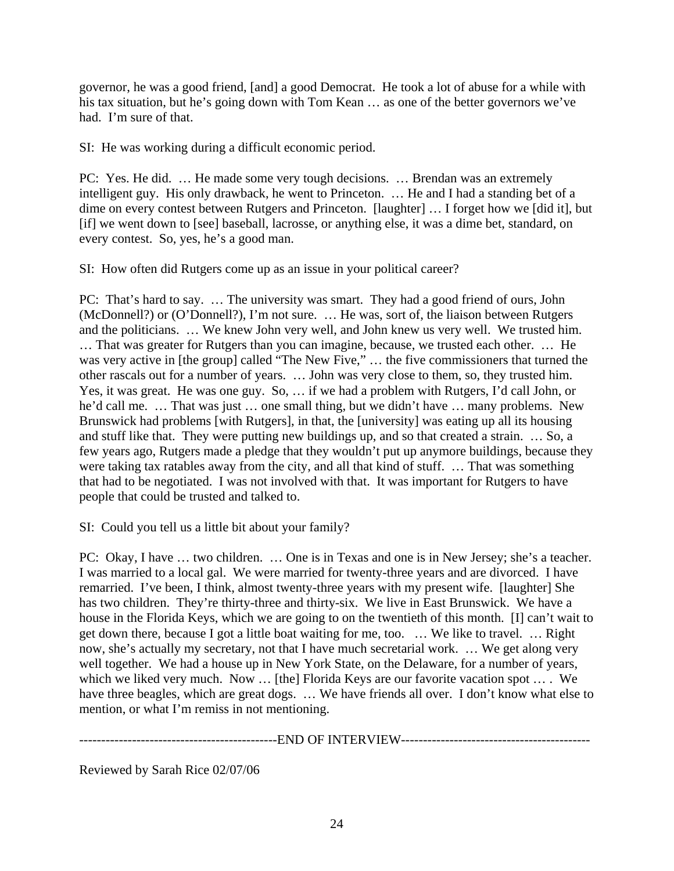governor, he was a good friend, [and] a good Democrat. He took a lot of abuse for a while with his tax situation, but he's going down with Tom Kean ... as one of the better governors we've had. I'm sure of that.

SI: He was working during a difficult economic period.

PC: Yes. He did. … He made some very tough decisions. … Brendan was an extremely intelligent guy. His only drawback, he went to Princeton. … He and I had a standing bet of a dime on every contest between Rutgers and Princeton. [laughter] … I forget how we [did it], but [if] we went down to [see] baseball, lacrosse, or anything else, it was a dime bet, standard, on every contest. So, yes, he's a good man.

SI: How often did Rutgers come up as an issue in your political career?

PC: That's hard to say. … The university was smart. They had a good friend of ours, John (McDonnell?) or (O'Donnell?), I'm not sure. … He was, sort of, the liaison between Rutgers and the politicians. … We knew John very well, and John knew us very well. We trusted him. … That was greater for Rutgers than you can imagine, because, we trusted each other. … He was very active in [the group] called "The New Five," ... the five commissioners that turned the other rascals out for a number of years. … John was very close to them, so, they trusted him. Yes, it was great. He was one guy. So, … if we had a problem with Rutgers, I'd call John, or he'd call me. … That was just … one small thing, but we didn't have … many problems. New Brunswick had problems [with Rutgers], in that, the [university] was eating up all its housing and stuff like that. They were putting new buildings up, and so that created a strain. … So, a few years ago, Rutgers made a pledge that they wouldn't put up anymore buildings, because they were taking tax ratables away from the city, and all that kind of stuff. … That was something that had to be negotiated. I was not involved with that. It was important for Rutgers to have people that could be trusted and talked to.

SI: Could you tell us a little bit about your family?

PC: Okay, I have … two children. … One is in Texas and one is in New Jersey; she's a teacher. I was married to a local gal. We were married for twenty-three years and are divorced. I have remarried. I've been, I think, almost twenty-three years with my present wife. [laughter] She has two children. They're thirty-three and thirty-six. We live in East Brunswick. We have a house in the Florida Keys, which we are going to on the twentieth of this month. [I] can't wait to get down there, because I got a little boat waiting for me, too. … We like to travel. … Right now, she's actually my secretary, not that I have much secretarial work. … We get along very well together. We had a house up in New York State, on the Delaware, for a number of years, which we liked very much. Now ... [the] Florida Keys are our favorite vacation spot ... . We have three beagles, which are great dogs. ... We have friends all over. I don't know what else to mention, or what I'm remiss in not mentioning.

---------------------------------------------END OF INTERVIEW-------------------------------------------

Reviewed by Sarah Rice 02/07/06